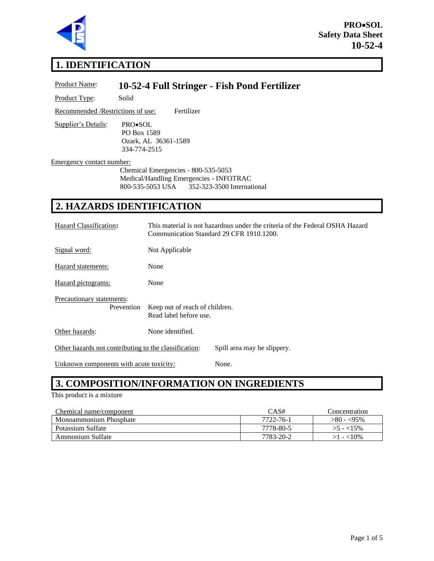

**PRO**•**SOL Safety Data Sheet 10-52-4**

# **1. IDENTIFICATION**

| Product Name:                                                                                                                                              | 10-52-4 Full Stringer - Fish Pond Fertilizer                                                                             |
|------------------------------------------------------------------------------------------------------------------------------------------------------------|--------------------------------------------------------------------------------------------------------------------------|
| Product Type:                                                                                                                                              | Solid                                                                                                                    |
| Recommended / Restrictions of use:                                                                                                                         | Fertilizer                                                                                                               |
| <b>Supplier's Details:</b>                                                                                                                                 | PRO•SOL<br>PO Box 1589<br>Ozark, AL 36361-1589<br>334-774-2515                                                           |
| Emergency contact number:<br>Chemical Emergencies - 800-535-5053<br>Medical/Handling Emergencies - INFOTRAC<br>800-535-5053 USA 352-323-3500 International |                                                                                                                          |
|                                                                                                                                                            | <b>2. HAZARDS IDENTIFICATION</b>                                                                                         |
| Hazard Classification:                                                                                                                                     | This material is not hazardous under the criteria of the Federal OSHA Hazard<br>Communication Standard 29 CFR 1910.1200. |
| Signal word:                                                                                                                                               | Not Applicable                                                                                                           |

Hazard statements: None Hazard pictograms: None

Precautionary statements: Prevention Keep out of reach of children. Read label before use.

Other hazards: None identified.

Other hazards not contributing to the classification: Spill area may be slippery.

Unknown components with acute toxicity: None.

## **3. COMPOSITION/INFORMATION ON INGREDIENTS**

#### This product is a mixture

| Chemical name/component | CAS#      | Concentration |
|-------------------------|-----------|---------------|
| Monoammonium Phosphate  | 7722-76-1 | $>80 - 55\%$  |
| Potassium Sulfate       | 7778-80-5 | $>5 - 15\%$   |
| Ammonium Sulfate        | 7783-20-2 | $>1 - 10\%$   |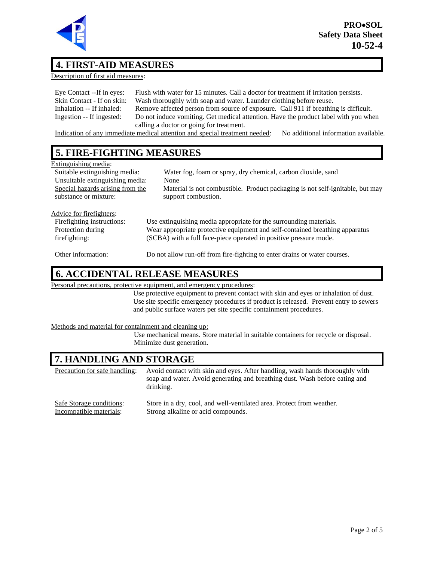

### **4. FIRST-AID MEASURES**

Description of first aid measures:

| Eye Contact --If in eyes:  | Flush with water for 15 minutes. Call a doctor for treatment if irritation persists. |
|----------------------------|--------------------------------------------------------------------------------------|
| Skin Contact - If on skin: | Wash thoroughly with soap and water. Launder clothing before reuse.                  |
| Inhalation -- If inhaled:  | Remove affected person from source of exposure. Call 911 if breathing is difficult.  |
| Ingestion -- If ingested:  | Do not induce vomiting. Get medical attention. Have the product label with you when  |
|                            | calling a doctor or going for treatment.                                             |

Indication of any immediate medical attention and special treatment needed: No additional information available.

## **5. FIRE-FIGHTING MEASURES**

#### Extinguishing media:

| <b>EAULE</b> Abilitie incent     |                                                                               |
|----------------------------------|-------------------------------------------------------------------------------|
| Suitable extinguishing media:    | Water fog, foam or spray, dry chemical, carbon dioxide, sand                  |
| Unsuitable extinguishing media:  | None                                                                          |
| Special hazards arising from the | Material is not combustible. Product packaging is not self-ignitable, but may |
| substance or mixture:            | support combustion.                                                           |
|                                  |                                                                               |
| Advice for firefighters:         |                                                                               |
| Firefighting instructions:       | Use extinguishing media appropriate for the surrounding materials.            |
| Protection during                | Wear appropriate protective equipment and self-contained breathing apparatus  |
| firefighting:                    | (SCBA) with a full face-piece operated in positive pressure mode.             |
|                                  |                                                                               |
| Other information:               | Do not allow run-off from fire-fighting to enter drains or water courses.     |

#### **6. ACCIDENTAL RELEASE MEASURES**

Personal precautions, protective equipment, and emergency procedures:

Use protective equipment to prevent contact with skin and eyes or inhalation of dust. Use site specific emergency procedures if product is released. Prevent entry to sewers and public surface waters per site specific containment procedures.

Methods and material for containment and cleaning up:

Use mechanical means. Store material in suitable containers for recycle or disposal. Minimize dust generation.

#### **7. HANDLING AND STORAGE**

Precaution for safe handling: Avoid contact with skin and eyes. After handling, wash hands thoroughly with soap and water. Avoid generating and breathing dust. Wash before eating and drinking. Safe Storage conditions: Store in a dry, cool, and well-ventilated area. Protect from weather. Incompatible materials: Strong alkaline or acid compounds.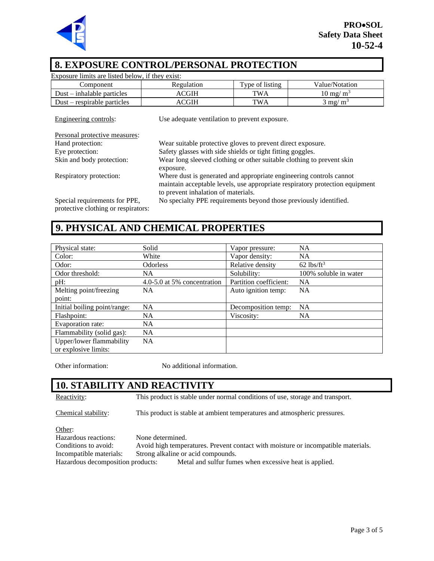

### **8. EXPOSURE CONTROL/PERSONAL PROTECTION**

| Exposure limits are listed below, if they exist: |                                                                       |                 |                                                                              |
|--------------------------------------------------|-----------------------------------------------------------------------|-----------------|------------------------------------------------------------------------------|
| Component                                        | Regulation                                                            | Type of listing | Value/Notation                                                               |
| $Dust - inhalable particles$                     | <b>ACGIH</b>                                                          | <b>TWA</b>      | $10 \text{ mg/m}^3$                                                          |
| $Dust$ – respirable particles                    | <b>ACGIH</b>                                                          | <b>TWA</b>      | $3 \text{ mg/m}^3$                                                           |
| Engineering controls:                            | Use adequate ventilation to prevent exposure.                         |                 |                                                                              |
| Personal protective measures:                    |                                                                       |                 |                                                                              |
| Hand protection:                                 | Wear suitable protective gloves to prevent direct exposure.           |                 |                                                                              |
| Eye protection:                                  | Safety glasses with side shields or tight fitting goggles.            |                 |                                                                              |
| Skin and body protection:                        | Wear long sleeved clothing or other suitable clothing to prevent skin |                 |                                                                              |
|                                                  | exposure.                                                             |                 |                                                                              |
| Respiratory protection:                          | Where dust is generated and appropriate engineering controls cannot   |                 |                                                                              |
|                                                  |                                                                       |                 | maintain acceptable levels, use appropriate respiratory protection equipment |
|                                                  | to prevent inhalation of materials.                                   |                 |                                                                              |
| Special requirements for PPE,                    | No specialty PPE requirements beyond those previously identified.     |                 |                                                                              |
| marki iliyo alakli maso maso bokano              |                                                                       |                 |                                                                              |

protective clothing or respirators:

## **9. PHYSICAL AND CHEMICAL PROPERTIES**

| Physical state:              | Solid                       | Vapor pressure:        | <b>NA</b>                |
|------------------------------|-----------------------------|------------------------|--------------------------|
| Color:                       | White                       | Vapor density:         | <b>NA</b>                |
| Odor:                        | <b>Odorless</b>             | Relative density       | $62$ lbs/ft <sup>3</sup> |
| Odor threshold:              | NA.                         | Solubility:            | 100% soluble in water    |
| pH:                          | 4.0-5.0 at 5% concentration | Partition coefficient: | <b>NA</b>                |
| Melting point/freezing       | NA.                         | Auto ignition temp:    | NA                       |
| point:                       |                             |                        |                          |
| Initial boiling point/range: | <b>NA</b>                   | Decomposition temp:    | <b>NA</b>                |
| Flashpoint:                  | NA.                         | Viscosity:             | <b>NA</b>                |
| Evaporation rate:            | <b>NA</b>                   |                        |                          |
| Flammability (solid gas):    | <b>NA</b>                   |                        |                          |
| Upper/lower flammability     | NA.                         |                        |                          |
| or explosive limits:         |                             |                        |                          |

Other information: No additional information.

## **10. STABILITY AND REACTIVITY**

Reactivity: This product is stable under normal conditions of use, storage and transport.

Chemical stability: This product is stable at ambient temperatures and atmospheric pressures.

Other:

Hazardous reactions: None determined.

Conditions to avoid: Avoid high temperatures. Prevent contact with moisture or incompatible materials.

Incompatible materials: Strong alkaline or acid compounds.

Hazardous decomposition products: Metal and sulfur fumes when excessive heat is applied.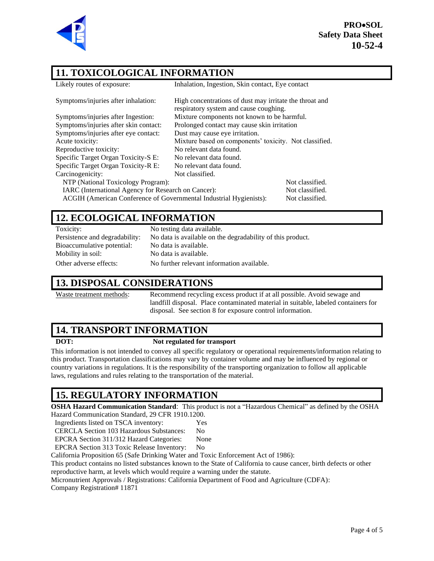

**PRO**•**SOL Safety Data Sheet 10-52-4**

## **11. TOXICOLOGICAL INFORMATION**

| Likely routes of exposure:                                                            | Inhalation, Ingestion, Skin contact, Eye contact                                                  |                 |
|---------------------------------------------------------------------------------------|---------------------------------------------------------------------------------------------------|-----------------|
| Symptoms/injuries after inhalation:                                                   | High concentrations of dust may irritate the throat and<br>respiratory system and cause coughing. |                 |
| Symptoms/injuries after Ingestion:                                                    | Mixture components not known to be harmful.                                                       |                 |
| Symptoms/injuries after skin contact:                                                 | Prolonged contact may cause skin irritation                                                       |                 |
| Symptoms/injuries after eye contact:                                                  | Dust may cause eye irritation.                                                                    |                 |
| Acute toxicity:                                                                       | Mixture based on components' toxicity. Not classified.                                            |                 |
| Reproductive toxicity:                                                                | No relevant data found.                                                                           |                 |
| Specific Target Organ Toxicity-S E:                                                   | No relevant data found.                                                                           |                 |
| Specific Target Organ Toxicity-R E:                                                   | No relevant data found.                                                                           |                 |
| Carcinogenicity:                                                                      | Not classified.                                                                                   |                 |
| NTP (National Toxicology Program):                                                    |                                                                                                   | Not classified. |
| IARC (International Agency for Research on Cancer):                                   |                                                                                                   | Not classified. |
| ACGIH (American Conference of Governmental Industrial Hygienists):<br>Not classified. |                                                                                                   |                 |
|                                                                                       |                                                                                                   |                 |

### **12. ECOLOGICAL INFORMATION**

| Toxicity:                      | No testing data available.                                 |
|--------------------------------|------------------------------------------------------------|
| Persistence and degradability: | No data is available on the degradability of this product. |
| Bioaccumulative potential:     | No data is available.                                      |
| Mobility in soil:              | No data is available.                                      |
| Other adverse effects:         | No further relevant information available.                 |

#### **13. DISPOSAL CONSIDERATIONS**

Waste treatment methods: Recommend recycling excess product if at all possible. Avoid sewage and landfill disposal. Place contaminated material in suitable, labeled containers for disposal. See section 8 for exposure control information.

## **14. TRANSPORT INFORMATION**

#### **DOT: Not regulated for transport**

This information is not intended to convey all specific regulatory or operational requirements/information relating to this product. Transportation classifications may vary by container volume and may be influenced by regional or country variations in regulations. It is the responsibility of the transporting organization to follow all applicable laws, regulations and rules relating to the transportation of the material.

## **15. REGULATORY INFORMATION**

**OSHA Hazard Communication Standard**: This product is not a "Hazardous Chemical" as defined by the OSHA Hazard Communication Standard, 29 CFR 1910.1200.

Ingredients listed on TSCA inventory: Yes

CERCLA Section 103 Hazardous Substances: No

EPCRA Section 311/312 Hazard Categories: None

EPCRA Section 313 Toxic Release Inventory: No

California Proposition 65 (Safe Drinking Water and Toxic Enforcement Act of 1986):

This product contains no listed substances known to the State of California to cause cancer, birth defects or other reproductive harm, at levels which would require a warning under the statute.

Micronutrient Approvals / Registrations: California Department of Food and Agriculture (CDFA):

Company Registration# 11871